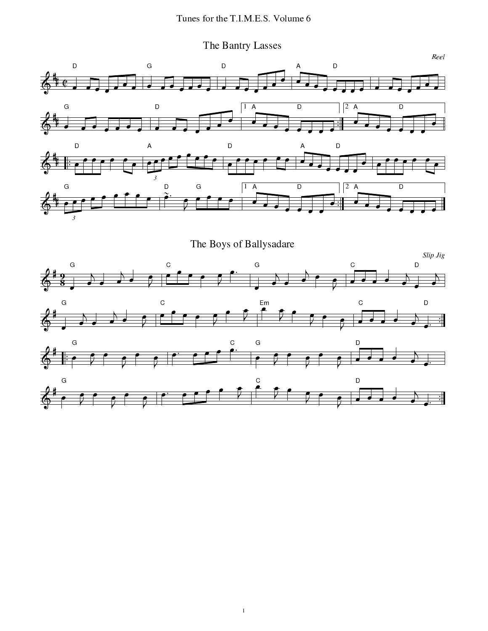The Bantry Lasses

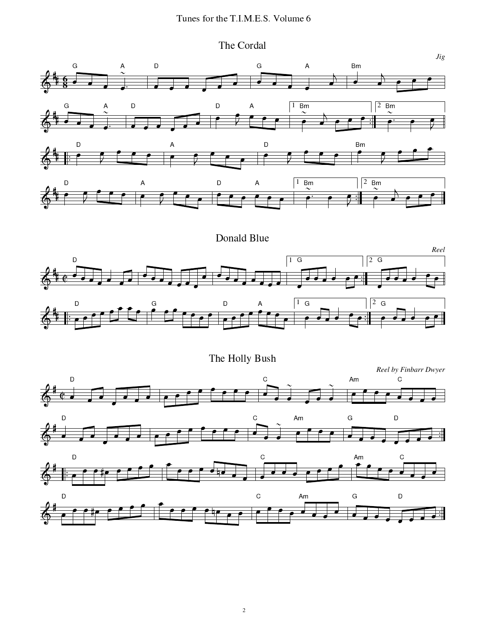The Cordal

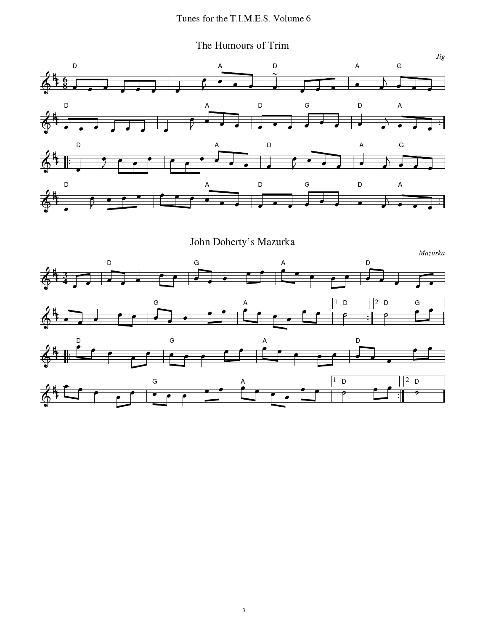The Humours of Trim



John Doherty's Mazurka

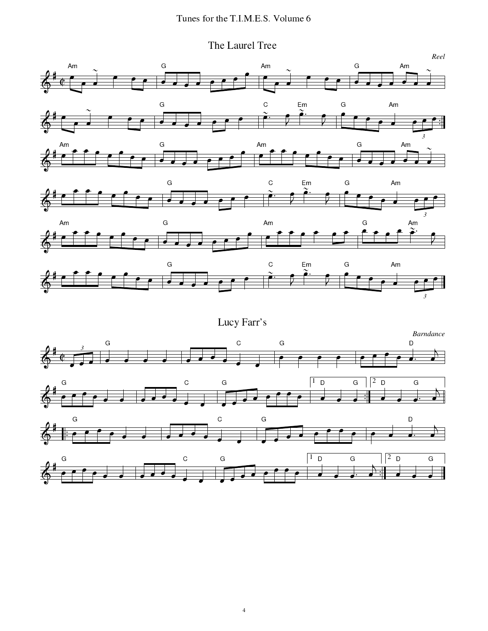The Laurel Tree

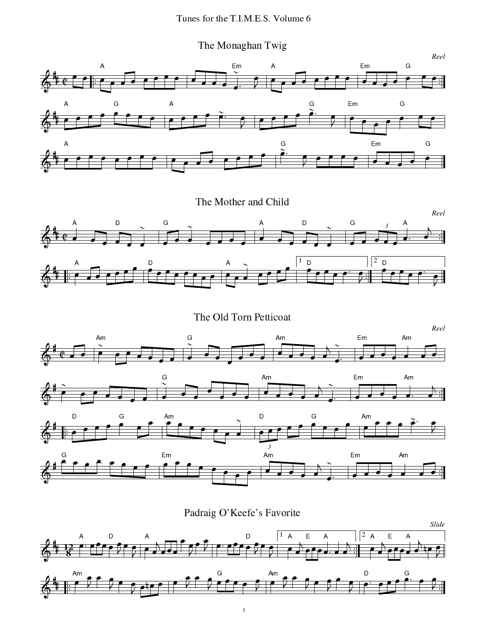The Monaghan Twig



The Mother and Child



The Old Torn Petticoat



Padraig O'Keefe's Favorite

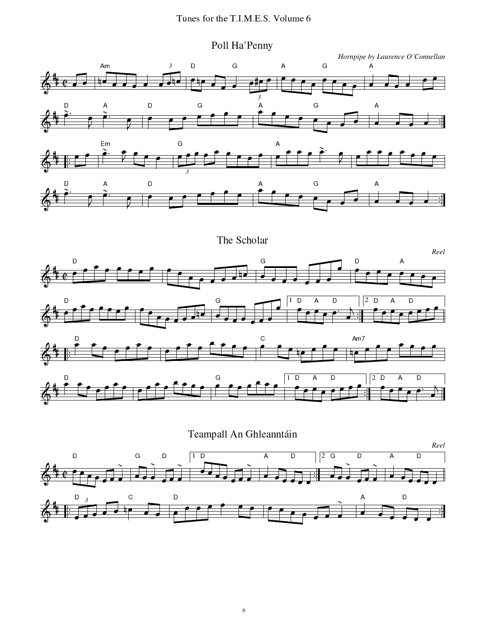





 $\sqrt{6}$